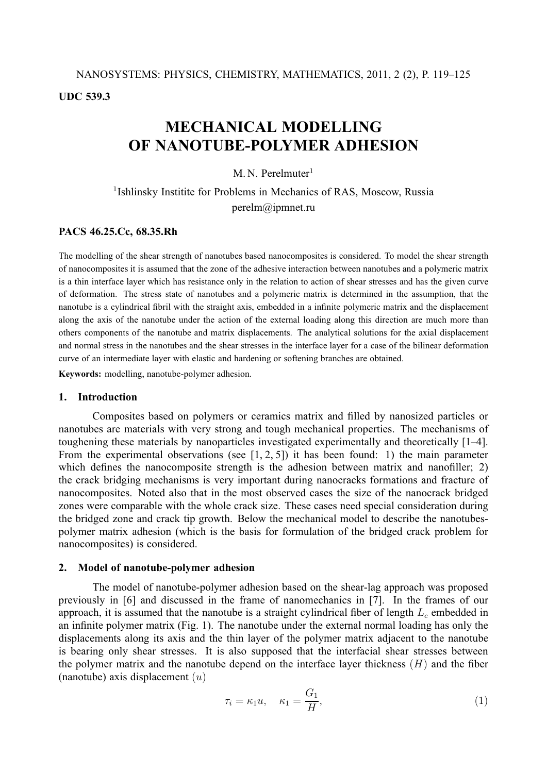# **UDC 539.3**

# **MECHANICAL MODELLING OF NANOTUBE-POLYMER ADHESION**

 $M N$  Perelmuter<sup>1</sup>

<sup>1</sup>Ishlinsky Institite for Problems in Mechanics of RAS, Moscow, Russia perelm@ipmnet.ru

# **PACS 46.25.Cc, 68.35.Rh**

The modelling of the shear strength of nanotubes based nanocomposites is considered. To model the shear strength of nanocomposites it is assumed that the zone of the adhesive interaction between nanotubes and a polymeric matrix is a thin interface layer which has resistance only in the relation to action of shear stresses and has the given curve of deformation. The stress state of nanotubes and a polymeric matrix is determined in the assumption, that the nanotube is a cylindrical fibril with the straight axis, embedded in a infinite polymeric matrix and the displacement along the axis of the nanotube under the action of the external loading along this direction are much more than others components of the nanotube and matrix displacements. The analytical solutions for the axial displacement and normal stress in the nanotubes and the shear stresses in the interface layer for a case of the bilinear deformation curve of an intermediate layer with elastic and hardening or softening branches are obtained.

**Keywords:** modelling, nanotube-polymer adhesion.

## **1. Introduction**

Composites based on polymers or ceramics matrix and filled by nanosized particles or nanotubes are materials with very strong and tough mechanical properties. The mechanisms of toughening these materials by nanoparticles investigated experimentally and theoretically [1–4]. From the experimental observations (see  $[1, 2, 5]$ ) it has been found: 1) the main parameter which defines the nanocomposite strength is the adhesion between matrix and nanofiller; 2) the crack bridging mechanisms is very important during nanocracks formations and fracture of nanocomposites. Noted also that in the most observed cases the size of the nanocrack bridged zones were comparable with the whole crack size. These cases need special consideration during the bridged zone and crack tip growth. Below the mechanical model to describe the nanotubespolymer matrix adhesion (which is the basis for formulation of the bridged crack problem for nanocomposites) is considered.

## **2. Model of nanotube-polymer adhesion**

The model of nanotube-polymer adhesion based on the shear-lag approach was proposed previously in [6] and discussed in the frame of nanomechanics in [7]. In the frames of our approach, it is assumed that the nanotube is a straight cylindrical fiber of length  $L_c$  embedded in an infinite polymer matrix (Fig. 1). The nanotube under the external normal loading has only the displacements along its axis and the thin layer of the polymer matrix adjacent to the nanotube is bearing only shear stresses. It is also supposed that the interfacial shear stresses between the polymer matrix and the nanotube depend on the interface layer thickness  $(H)$  and the fiber (nanotube) axis displacement  $(u)$ 

$$
\tau_i = \kappa_1 u, \quad \kappa_1 = \frac{G_1}{H}, \tag{1}
$$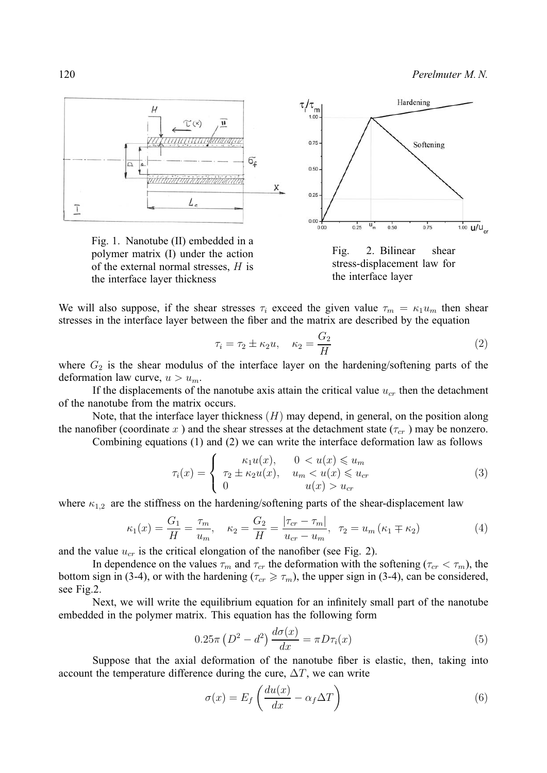120 *Perelmuter M. N.*



Fig. 1. Nanotube (II) embedded in a polymer matrix (I) under the action of the external normal stresses,  $H$  is the interface layer thickness



We will also suppose, if the shear stresses  $\tau_i$  exceed the given value  $\tau_m = \kappa_1 u_m$  then shear stresses in the interface layer between the fiber and the matrix are described by the equation

$$
\tau_i = \tau_2 \pm \kappa_2 u, \quad \kappa_2 = \frac{G_2}{H} \tag{2}
$$

where  $G_2$  is the shear modulus of the interface layer on the hardening/softening parts of the deformation law curve,  $u > u_m$ .

If the displacements of the nanotube axis attain the critical value  $u_{cr}$  then the detachment of the nanotube from the matrix occurs.

Note, that the interface layer thickness  $(H)$  may depend, in general, on the position along the nanofiber (coordinate x) and the shear stresses at the detachment state  $(\tau_{cr})$  may be nonzero.

Combining equations (1) and (2) we can write the interface deformation law as follows

$$
\tau_i(x) = \begin{cases}\n\kappa_1 u(x), & 0 < u(x) \le u_m \\
\tau_2 \pm \kappa_2 u(x), & u_m < u(x) \le u_{cr} \\
0 & u(x) > u_{cr}\n\end{cases} \tag{3}
$$

where  $\kappa_{1,2}$  are the stiffness on the hardening/softening parts of the shear-displacement law

$$
\kappa_1(x) = \frac{G_1}{H} = \frac{\tau_m}{u_m}, \quad \kappa_2 = \frac{G_2}{H} = \frac{|\tau_{cr} - \tau_m|}{u_{cr} - u_m}, \quad \tau_2 = u_m \left(\kappa_1 \mp \kappa_2\right) \tag{4}
$$

and the value  $u_{cr}$  is the critical elongation of the nanofiber (see Fig. 2).

In dependence on the values  $\tau_m$  and  $\tau_{cr}$  the deformation with the softening ( $\tau_{cr} < \tau_m$ ), the bottom sign in (3-4), or with the hardening ( $\tau_{cr} \geq \tau_m$ ), the upper sign in (3-4), can be considered, see Fig.2.

Next, we will write the equilibrium equation for an infinitely small part of the nanotube embedded in the polymer matrix. This equation has the following form

$$
0.25\pi \left(D^2 - d^2\right) \frac{d\sigma(x)}{dx} = \pi D\tau_i(x) \tag{5}
$$

Suppose that the axial deformation of the nanotube fiber is elastic, then, taking into account the temperature difference during the cure,  $\Delta T$ , we can write

$$
\sigma(x) = E_f \left( \frac{du(x)}{dx} - \alpha_f \Delta T \right) \tag{6}
$$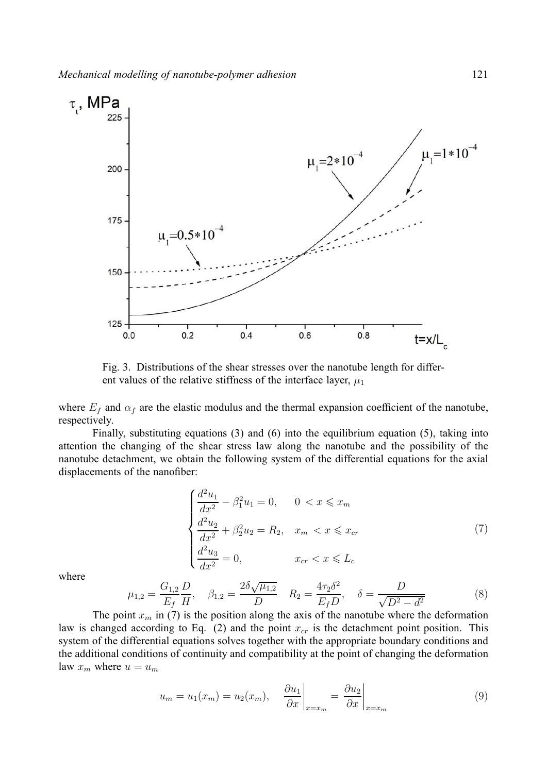

Fig. 3. Distributions of the shear stresses over the nanotube length for different values of the relative stiffness of the interface layer,  $\mu_1$ 

where  $E_f$  and  $\alpha_f$  are the elastic modulus and the thermal expansion coefficient of the nanotube, respectively.

Finally, substituting equations (3) and (6) into the equilibrium equation (5), taking into attention the changing of the shear stress law along the nanotube and the possibility of the nanotube detachment, we obtain the following system of the differential equations for the axial displacements of the nanofiber:

$$
\begin{cases}\n\frac{d^2u_1}{dx^2} - \beta_1^2 u_1 = 0, & 0 < x \le x_m \\
\frac{d^2u_2}{dx^2} + \beta_2^2 u_2 = R_2, & x_m < x \le x_{cr} \\
\frac{d^2u_3}{dx^2} = 0, & x_{cr} < x \le L_c\n\end{cases}
$$
\n(7)

where

$$
\mu_{1,2} = \frac{G_{1,2}}{E_f} \frac{D}{H}, \quad \beta_{1,2} = \frac{2\delta\sqrt{\mu_{1,2}}}{D} \quad R_2 = \frac{4\tau_2\delta^2}{E_f D}, \quad \delta = \frac{D}{\sqrt{D^2 - d^2}} \tag{8}
$$

The point  $x_m$  in (7) is the position along the axis of the nanotube where the deformation law is changed according to Eq. (2) and the point  $x_{cr}$  is the detachment point position. This system of the differential equations solves together with the appropriate boundary conditions and the additional conditions of continuity and compatibility at the point of changing the deformation law  $x_m$  where  $u = u_m$ 

$$
u_m = u_1(x_m) = u_2(x_m), \quad \frac{\partial u_1}{\partial x}\bigg|_{x=x_m} = \frac{\partial u_2}{\partial x}\bigg|_{x=x_m}
$$
(9)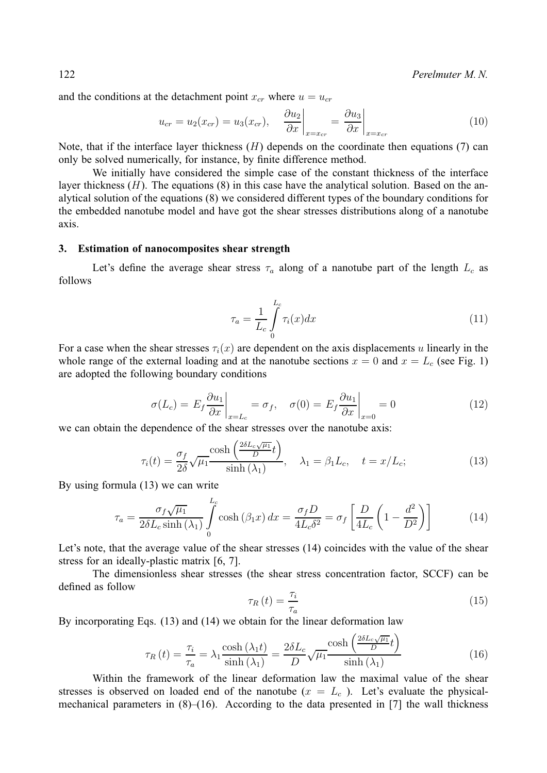122 *Perelmuter M. N.*

and the conditions at the detachment point  $x_{cr}$  where  $u = u_{cr}$ 

$$
u_{cr} = u_2(x_{cr}) = u_3(x_{cr}), \quad \frac{\partial u_2}{\partial x}\bigg|_{x=x_{cr}} = \frac{\partial u_3}{\partial x}\bigg|_{x=x_{cr}} \tag{10}
$$

Note, that if the interface layer thickness  $(H)$  depends on the coordinate then equations (7) can only be solved numerically, for instance, by finite difference method.

We initially have considered the simple case of the constant thickness of the interface layer thickness  $(H)$ . The equations  $(8)$  in this case have the analytical solution. Based on the analytical solution of the equations (8) we considered different types of the boundary conditions for the embedded nanotube model and have got the shear stresses distributions along of a nanotube axis.

#### **3. Estimation of nanocomposites shear strength**

Let's define the average shear stress  $\tau_a$  along of a nanotube part of the length  $L_c$  as follows

$$
\tau_a = \frac{1}{L_c} \int_0^{L_c} \tau_i(x) dx \tag{11}
$$

For a case when the shear stresses  $\tau_i(x)$  are dependent on the axis displacements u linearly in the whole range of the external loading and at the nanotube sections  $x = 0$  and  $x = L_c$  (see Fig. 1) are adopted the following boundary conditions

$$
\sigma(L_c) = E_f \frac{\partial u_1}{\partial x}\bigg|_{x=L_c} = \sigma_f, \quad \sigma(0) = E_f \frac{\partial u_1}{\partial x}\bigg|_{x=0} = 0 \tag{12}
$$

we can obtain the dependence of the shear stresses over the nanotube axis:

$$
\tau_i(t) = \frac{\sigma_f}{2\delta} \sqrt{\mu_1} \frac{\cosh\left(\frac{2\delta L_c \sqrt{\mu_1}}{D}t\right)}{\sinh\left(\lambda_1\right)}, \quad \lambda_1 = \beta_1 L_c, \quad t = x/L_c;\tag{13}
$$

By using formula (13) we can write

$$
\tau_a = \frac{\sigma_f \sqrt{\mu_1}}{2\delta L_c \sinh\left(\lambda_1\right)} \int_0^{L_c} \cosh\left(\beta_1 x\right) dx = \frac{\sigma_f D}{4L_c \delta^2} = \sigma_f \left[ \frac{D}{4L_c} \left(1 - \frac{d^2}{D^2}\right) \right] \tag{14}
$$

Let's note, that the average value of the shear stresses (14) coincides with the value of the shear stress for an ideally-plastic matrix [6, 7].

The dimensionless shear stresses (the shear stress concentration factor, SCCF) can be defined as follow

$$
\tau_R(t) = \frac{\tau_i}{\tau_a} \tag{15}
$$

By incorporating Eqs. (13) and (14) we obtain for the linear deformation law

$$
\tau_R(t) = \frac{\tau_i}{\tau_a} = \lambda_1 \frac{\cosh\left(\lambda_1 t\right)}{\sinh\left(\lambda_1\right)} = \frac{2\delta L_c}{D} \sqrt{\mu_1} \frac{\cosh\left(\frac{2\delta L_c \sqrt{\mu_1}}{D} t\right)}{\sinh\left(\lambda_1\right)}\tag{16}
$$

Within the framework of the linear deformation law the maximal value of the shear stresses is observed on loaded end of the nanotube  $(x = L<sub>c</sub>)$ . Let's evaluate the physicalmechanical parameters in  $(8)$ – $(16)$ . According to the data presented in [7] the wall thickness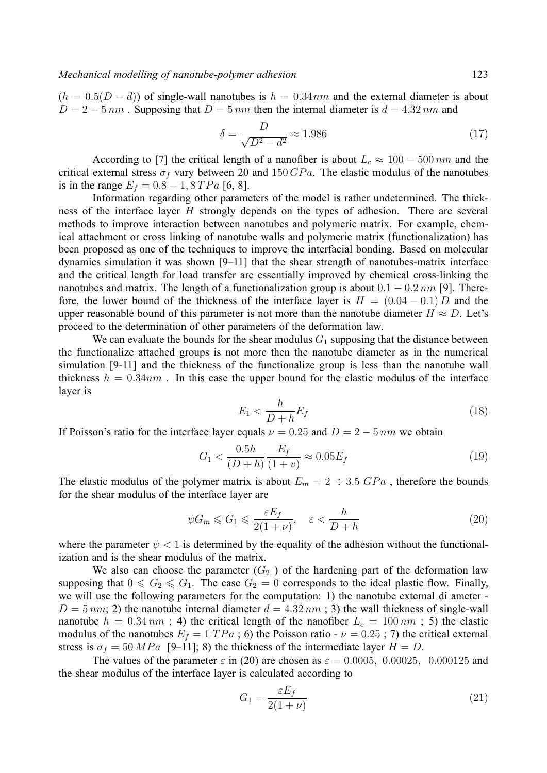$(h = 0.5(D - d))$  of single-wall nanotubes is  $h = 0.34$  and the external diameter is about  $D = 2 - 5 \, \text{nm}$ . Supposing that  $D = 5 \, \text{nm}$  then the internal diameter is  $d = 4.32 \, \text{nm}$  and

$$
\delta = \frac{D}{\sqrt{D^2 - d^2}} \approx 1.986\tag{17}
$$

According to [7] the critical length of a nanofiber is about  $L_c \approx 100 - 500 \, nm$  and the critical external stress  $\sigma_f$  vary between 20 and 150  $GPa$ . The elastic modulus of the nanotubes is in the range  $E_f = 0.8 - 1, 8TPa$  [6, 8].

Information regarding other parameters of the model is rather undetermined. The thickness of the interface layer  $H$  strongly depends on the types of adhesion. There are several methods to improve interaction between nanotubes and polymeric matrix. For example, chemical attachment or cross linking of nanotube walls and polymeric matrix (functionalization) has been proposed as one of the techniques to improve the interfacial bonding. Based on molecular dynamics simulation it was shown [9–11] that the shear strength of nanotubes-matrix interface and the critical length for load transfer are essentially improved by chemical cross-linking the nanotubes and matrix. The length of a functionalization group is about  $0.1 - 0.2$   $nm$  [9]. Therefore, the lower bound of the thickness of the interface layer is  $H = (0.04 - 0.1) D$  and the upper reasonable bound of this parameter is not more than the nanotube diameter  $H \approx D$ . Let's proceed to the determination of other parameters of the deformation law.

We can evaluate the bounds for the shear modulus  $G_1$  supposing that the distance between the functionalize attached groups is not more then the nanotube diameter as in the numerical simulation [9-11] and the thickness of the functionalize group is less than the nanotube wall thickness  $h = 0.34nm$ . In this case the upper bound for the elastic modulus of the interface layer is

$$
E_1 < \frac{h}{D+h} E_f \tag{18}
$$

If Poisson's ratio for the interface layer equals  $\nu = 0.25$  and  $D = 2 - 5 \, \text{nm}$  we obtain

$$
G_1 < \frac{0.5h}{(D+h)} \frac{E_f}{(1+v)} \approx 0.05 E_f \tag{19}
$$

The elastic modulus of the polymer matrix is about  $E_m = 2 \div 3.5 \text{ GPa}$ , therefore the bounds for the shear modulus of the interface layer are

$$
\psi G_m \leqslant G_1 \leqslant \frac{\varepsilon E_f}{2(1+\nu)}, \quad \varepsilon < \frac{h}{D+h} \tag{20}
$$

where the parameter  $\psi$  < 1 is determined by the equality of the adhesion without the functionalization and is the shear modulus of the matrix.

We also can choose the parameter  $(G_2)$  of the hardening part of the deformation law supposing that  $0 \le G_2 \le G_1$ . The case  $G_2 = 0$  corresponds to the ideal plastic flow. Finally, we will use the following parameters for the computation: 1) the nanotube external di ameter -  $D = 5 \, nm$ ; 2) the nanotube internal diameter  $d = 4.32 \, nm$ ; 3) the wall thickness of single-wall nanotube  $h = 0.34 \, nm$ ; 4) the critical length of the nanofiber  $L_c = 100 \, nm$ ; 5) the elastic modulus of the nanotubes  $E_f = 1 TPa$ ; 6) the Poisson ratio -  $\nu = 0.25$ ; 7) the critical external stress is  $\sigma_f = 50 MPa$  [9–11]; 8) the thickness of the intermediate layer  $H = D$ .

The values of the parameter  $\varepsilon$  in (20) are chosen as  $\varepsilon = 0.0005$ , 0.00025, 0.000125 and the shear modulus of the interface layer is calculated according to

$$
G_1 = \frac{\varepsilon E_f}{2(1+\nu)}\tag{21}
$$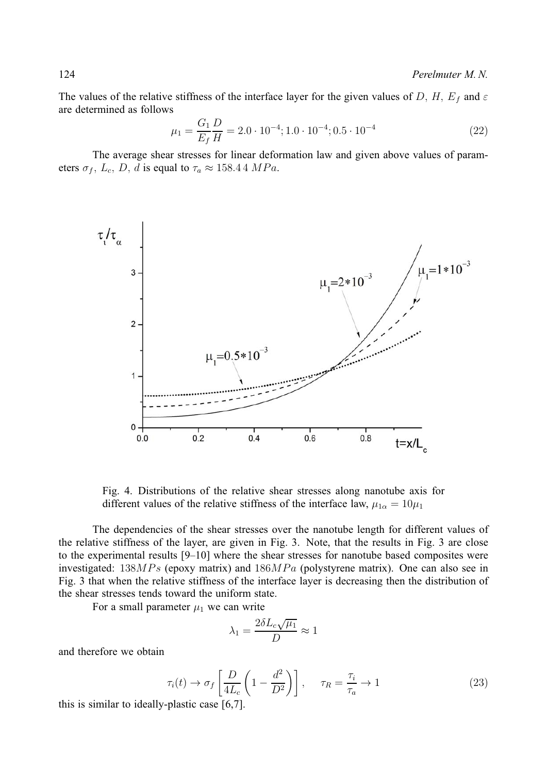The values of the relative stiffness of the interface layer for the given values of D, H,  $E_f$  and  $\varepsilon$ are determined as follows

$$
\mu_1 = \frac{G_1}{E_f} \frac{D}{H} = 2.0 \cdot 10^{-4}; 1.0 \cdot 10^{-4}; 0.5 \cdot 10^{-4}
$$
\n(22)

The average shear stresses for linear deformation law and given above values of parameters  $\sigma_f$ ,  $L_c$ ,  $D$ ,  $d$  is equal to  $\tau_a \approx 158.44 \; MPa$ .



Fig. 4. Distributions of the relative shear stresses along nanotube axis for different values of the relative stiffness of the interface law,  $\mu_{1\alpha} = 10\mu_1$ 

The dependencies of the shear stresses over the nanotube length for different values of the relative stiffness of the layer, are given in Fig. 3. Note, that the results in Fig. 3 are close to the experimental results [9–10] where the shear stresses for nanotube based composites were investigated:  $138MPs$  (epoxy matrix) and  $186MPa$  (polystyrene matrix). One can also see in Fig. 3 that when the relative stiffness of the interface layer is decreasing then the distribution of the shear stresses tends toward the uniform state.

For a small parameter  $\mu_1$  we can write

$$
\lambda_1 = \frac{2\delta L_c \sqrt{\mu_1}}{D} \approx 1
$$

and therefore we obtain

$$
\tau_i(t) \to \sigma_f \left[ \frac{D}{4L_c} \left( 1 - \frac{d^2}{D^2} \right) \right], \quad \tau_R = \frac{\tau_i}{\tau_a} \to 1 \tag{23}
$$

this is similar to ideally-plastic case [6,7].